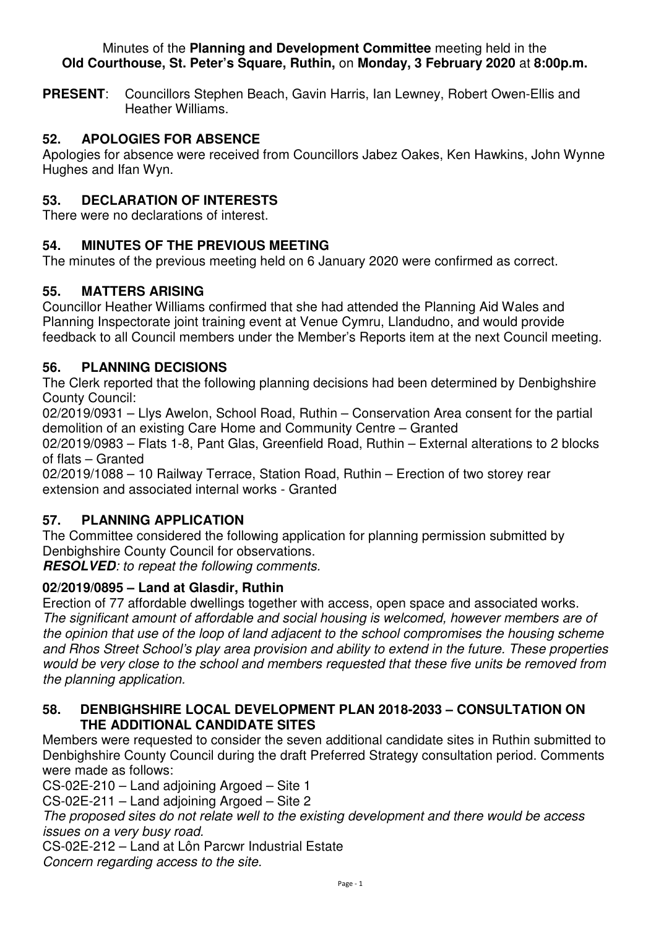#### Minutes of the **Planning and Development Committee** meeting held in the **Old Courthouse, St. Peter's Square, Ruthin,** on **Monday, 3 February 2020** at **8:00p.m.**

**PRESENT**: Councillors Stephen Beach, Gavin Harris, Ian Lewney, Robert Owen-Ellis and Heather Williams.

# **52. APOLOGIES FOR ABSENCE**

Apologies for absence were received from Councillors Jabez Oakes, Ken Hawkins, John Wynne Hughes and Ifan Wyn.

# **53. DECLARATION OF INTERESTS**

There were no declarations of interest.

## **54. MINUTES OF THE PREVIOUS MEETING**

The minutes of the previous meeting held on 6 January 2020 were confirmed as correct.

### **55. MATTERS ARISING**

Councillor Heather Williams confirmed that she had attended the Planning Aid Wales and Planning Inspectorate joint training event at Venue Cymru, Llandudno, and would provide feedback to all Council members under the Member's Reports item at the next Council meeting.

## **56. PLANNING DECISIONS**

The Clerk reported that the following planning decisions had been determined by Denbighshire County Council:

02/2019/0931 – Llys Awelon, School Road, Ruthin – Conservation Area consent for the partial demolition of an existing Care Home and Community Centre – Granted

02/2019/0983 – Flats 1-8, Pant Glas, Greenfield Road, Ruthin – External alterations to 2 blocks of flats – Granted

02/2019/1088 – 10 Railway Terrace, Station Road, Ruthin – Erection of two storey rear extension and associated internal works - Granted

### **57. PLANNING APPLICATION**

The Committee considered the following application for planning permission submitted by Denbighshire County Council for observations.

**RESOLVED***: to repeat the following comments.* 

### **02/2019/0895 – Land at Glasdir, Ruthin**

Erection of 77 affordable dwellings together with access, open space and associated works. *The significant amount of affordable and social housing is welcomed, however members are of the opinion that use of the loop of land adjacent to the school compromises the housing scheme and Rhos Street School's play area provision and ability to extend in the future. These properties would be very close to the school and members requested that these five units be removed from the planning application.* 

### **58. DENBIGHSHIRE LOCAL DEVELOPMENT PLAN 2018-2033 – CONSULTATION ON THE ADDITIONAL CANDIDATE SITES**

Members were requested to consider the seven additional candidate sites in Ruthin submitted to Denbighshire County Council during the draft Preferred Strategy consultation period. Comments were made as follows:

CS-02E-210 – Land adjoining Argoed – Site 1

CS-02E-211 – Land adjoining Argoed – Site 2

*The proposed sites do not relate well to the existing development and there would be access issues on a very busy road.* 

CS-02E-212 – Land at Lôn Parcwr Industrial Estate

*Concern regarding access to the site.*